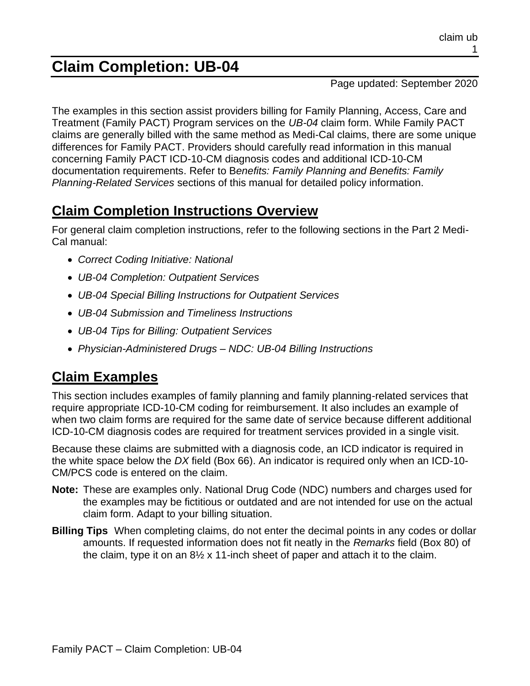# **Claim Completion: UB-04**

#### Page updated: September 2020

The examples in this section assist providers billing for Family Planning, Access, Care and Treatment (Family PACT) Program services on the *UB-04* claim form. While Family PACT claims are generally billed with the same method as Medi-Cal claims, there are some unique differences for Family PACT. Providers should carefully read information in this manual concerning Family PACT ICD-10-CM diagnosis codes and additional ICD-10-CM documentation requirements. Refer to B*enefits: Family Planning and Benefits: Family Planning-Related Services* sections of this manual for detailed policy information.

# **Claim Completion Instructions Overview**

For general claim completion instructions, refer to the following sections in the Part 2 Medi-Cal manual:

- *Correct Coding Initiative: National*
- *UB-04 Completion: Outpatient Services*
- *UB-04 Special Billing Instructions for Outpatient Services*
- *UB-04 Submission and Timeliness Instructions*
- *UB-04 Tips for Billing: Outpatient Services*
- *Physician-Administered Drugs – NDC: UB-04 Billing Instructions*

# **Claim Examples**

This section includes examples of family planning and family planning-related services that require appropriate ICD-10-CM coding for reimbursement. It also includes an example of when two claim forms are required for the same date of service because different additional ICD-10-CM diagnosis codes are required for treatment services provided in a single visit.

Because these claims are submitted with a diagnosis code, an ICD indicator is required in the white space below the *DX* field (Box 66). An indicator is required only when an ICD-10- CM/PCS code is entered on the claim.

- **Note:** These are examples only. National Drug Code (NDC) numbers and charges used for the examples may be fictitious or outdated and are not intended for use on the actual claim form. Adapt to your billing situation.
- **Billing Tips** When completing claims, do not enter the decimal points in any codes or dollar amounts. If requested information does not fit neatly in the *Remarks* field (Box 80) of the claim, type it on an 8½ x 11-inch sheet of paper and attach it to the claim.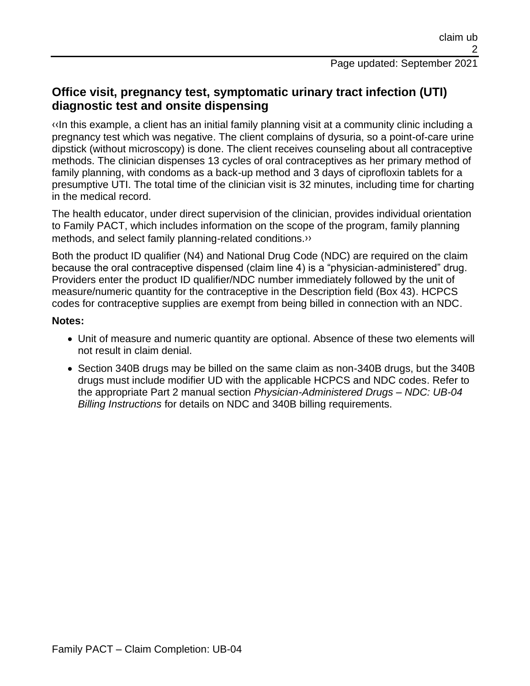## **Office visit, pregnancy test, symptomatic urinary tract infection (UTI) diagnostic test and onsite dispensing**

[‹‹I](#page-15-0)n this example, a client has an initial family planning visit at a community clinic including a pregnancy test which was negative. The client complains of dysuria, so a point-of-care urine dipstick (without microscopy) is done. The client receives counseling about all contraceptive methods. The clinician dispenses 13 cycles of oral contraceptives as her primary method of family planning, with condoms as a back-up method and 3 days of ciprofloxin tablets for a presumptive UTI. The total time of the clinician visit is 32 minutes, including time for charting in the medical record.

The health educator, under direct supervision of the clinician, provides individual orientation to Family PACT, which includes information on the scope of the program, family planning methods, and select family planning-related conditions[.››](#page-15-1)

Both the product ID qualifier (N4) and National Drug Code (NDC) are required on the claim because the oral contraceptive dispensed (claim line 4) is a "physician-administered" drug. Providers enter the product ID qualifier/NDC number immediately followed by the unit of measure/numeric quantity for the contraceptive in the Description field (Box 43). HCPCS codes for contraceptive supplies are exempt from being billed in connection with an NDC.

#### **Notes:**

- Unit of measure and numeric quantity are optional. Absence of these two elements will not result in claim denial.
- Section 340B drugs may be billed on the same claim as non-340B drugs, but the 340B drugs must include modifier UD with the applicable HCPCS and NDC codes. Refer to the appropriate Part 2 manual section *Physician-Administered Drugs – NDC: UB-04 Billing Instructions* for details on NDC and 340B billing requirements.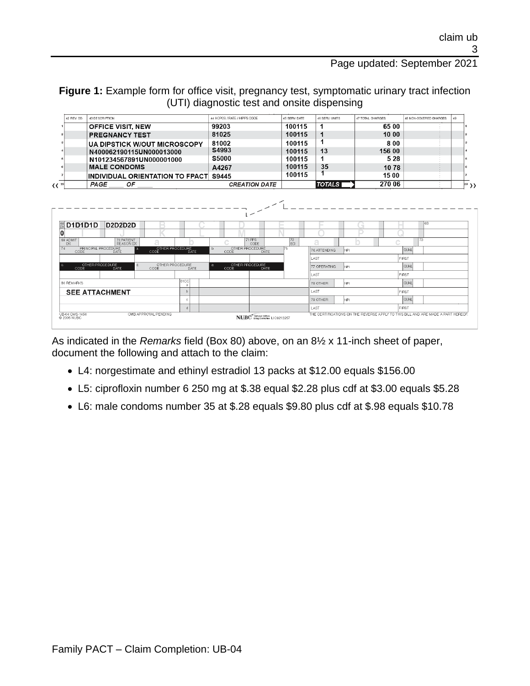#### Figure 1: Example form for office visit, pregnancy test, symptomatic urinary tract infection (UTI) diagnostic test and onsite dispensing

| 42 REV. CD.    | 43 DESCRIPTION                               | 44 HCPCS / RATE / HIPPS CODE | 45 SERV. DATE | 46 SERV. UNITS | 47 TOTAL CHARGES | 48 NON-COVERED CHARGES | 49 |
|----------------|----------------------------------------------|------------------------------|---------------|----------------|------------------|------------------------|----|
|                | <b>OFFICE VISIT. NEW</b>                     | 99203                        | 100115        |                | 65 00            |                        |    |
|                | <b>PREGNANCY TEST</b>                        | 81025                        | 100115        |                | 10:00            |                        |    |
|                | <b>UA DIPSTICK W/OUT MICROSCOPY</b>          | 81002                        | 100115        |                | 8:00             |                        |    |
|                | N400062190115UN000013000                     | S4993                        | 100115        | 13             | 156 00           |                        |    |
|                | N101234567891UN000001000                     | <b>S5000</b>                 | 100115        |                | 5 28             |                        |    |
|                | <b>MALE CONDOMS</b>                          | A4267                        | 100115        | 35             | 10.78            |                        |    |
|                | <b>INDIVIDUAL ORIENTATION TO FPACT S9445</b> |                              | 100115        |                | 15:00            |                        |    |
| 《〈 $^{\rm 23}$ | PAGE<br>ОF                                   | <b>CREATION DATE</b>         |               | TOTALS I       | 270 06           |                        |    |



As indicated in the *Remarks* field (Box 80) above, on an 8½ x 11-inch sheet of paper, document the following and attach to the claim:

- L4: norgestimate and ethinyl estradiol 13 packs at \$12.00 equals \$156.00
- L5: ciprofloxin number 6 250 mg at \$.38 equal \$2.28 plus cdf at \$3.00 equals \$5.28
- L6: male condoms number 35 at \$.28 equals \$9.80 plus cdf at \$.98 equals \$10.78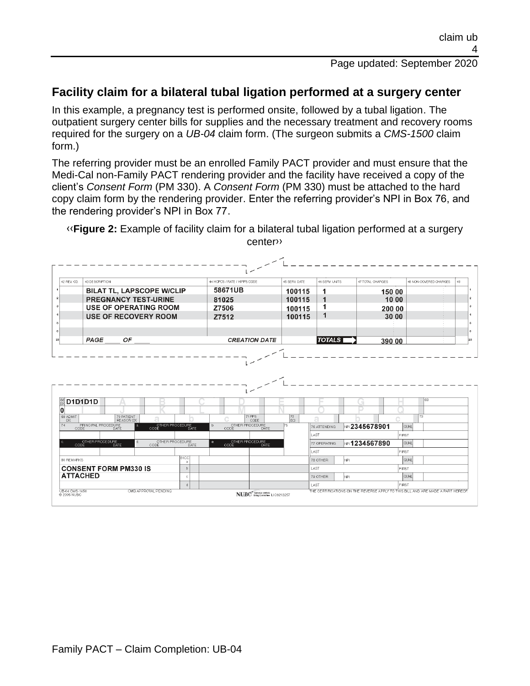## **Facility claim for a bilateral tubal ligation performed at a surgery center**

In this example, a pregnancy test is performed onsite, followed by a tubal ligation. The outpatient surgery center bills for supplies and the necessary treatment and recovery rooms required for the surgery on a *UB-04* claim form. (The surgeon submits a *CMS-1500* claim form.)

The referring provider must be an enrolled Family PACT provider and must ensure that the Medi-Cal non-Family PACT rendering provider and the facility have received a copy of the client's *Consent Form* (PM 330). A *Consent Form* (PM 330) must be attached to the hard copy claim form by the rendering provider. Enter the referring provider's NPI in Box 76, and the rendering provider's NPI in Box 77.

[‹‹](#page-15-0)**Figure 2:** Example of facility claim for a bilateral tubal ligation performed at a surgery cente[r››](#page-15-1)

| 42 REV. CD.                                                             | 43 DESCRIPTION      |                                  |                              |                   | 44 HCPCS / RATE / HIPPS CODE |                                        | 45 SERV. DATE | 46 SERV. UNITS |                     | 47 TOTAL CHARGES |              | 48 NON-COVERED CHARGES | 49 |
|-------------------------------------------------------------------------|---------------------|----------------------------------|------------------------------|-------------------|------------------------------|----------------------------------------|---------------|----------------|---------------------|------------------|--------------|------------------------|----|
|                                                                         |                     | <b>BILAT TL, LAPSCOPE W/CLIP</b> |                              |                   | 58671UB                      |                                        | 100115        | 1              |                     | 150:00           |              |                        |    |
|                                                                         |                     | <b>PREGNANCY TEST-URINE</b>      |                              |                   | 81025                        |                                        | 100115        | 1              |                     | 10:00            |              |                        |    |
|                                                                         |                     | <b>USE OF OPERATING ROOM</b>     |                              |                   | Z7506                        |                                        | 100115        | 1              |                     | 200 00           |              |                        |    |
|                                                                         |                     | <b>USE OF RECOVERY ROOM</b>      |                              |                   | Z7512                        |                                        | 100115        | 1              |                     | 3000             |              |                        |    |
|                                                                         |                     |                                  |                              |                   |                              |                                        |               |                |                     |                  |              |                        |    |
|                                                                         |                     |                                  |                              |                   |                              |                                        |               |                |                     |                  |              |                        |    |
|                                                                         | PAGE                | OF                               |                              |                   |                              | <b>CREATION DATE</b>                   |               | <b>TOTALS</b>  |                     | 390:00           |              |                        |    |
|                                                                         |                     |                                  |                              |                   |                              |                                        |               |                |                     |                  |              |                        |    |
| <b>D1D1D1D</b>                                                          |                     |                                  |                              |                   |                              |                                        |               |                |                     |                  |              | 68                     |    |
| DX                                                                      |                     | 70 PATIENT<br><b>REASON DX</b>   | ā                            |                   |                              | 71 PPS<br>CODE                         | 72<br>l ECI   | a              |                     |                  |              | 73                     |    |
| CODE                                                                    | PRINCIPAL PROCEDURE | $\overline{a}$<br>DATE           | OTHER PROCEDURE<br>CODE DATE |                   | $b$<br>CODE                  | OTHER PROCEDURE<br><b>DATE</b>         | 75            | 76 ATTENDING   | PP 2345678901       |                  | <b>QUAL</b>  |                        |    |
|                                                                         |                     |                                  |                              |                   |                              |                                        |               | LAST           |                     |                  | FIRST        |                        |    |
|                                                                         | OTHER PROCEDURE     | đ.<br>DATE                       | OTHER PROCEDURE<br>CODE      | DATE.             | $\theta$ .                   | OTHER PROCEDURE<br>CODE<br><b>DATE</b> |               | 77 OPERATING   | <b>NP1234567890</b> |                  | <b>QUAL</b>  |                        |    |
|                                                                         |                     |                                  |                              |                   |                              |                                        |               | LAST           |                     |                  | <b>FIRST</b> |                        |    |
|                                                                         |                     |                                  |                              | <b>81CC</b><br>-a |                              |                                        |               | 78 OTHER       | NPL.                |                  | <b>QUAL</b>  |                        |    |
|                                                                         |                     | <b>CONSENT FORM PM330 IS</b>     |                              | $\mathbf{r}$      |                              |                                        |               | LAST           |                     |                  | FIRST        |                        |    |
| 66<br>DX<br>O<br>69 ADMIT<br>74<br><b>80 REMARKS</b><br><b>ATTACHED</b> |                     |                                  |                              | <b>C</b>          |                              |                                        |               | 79 OTHER       | NPI.                |                  | <b>QUAL</b>  |                        |    |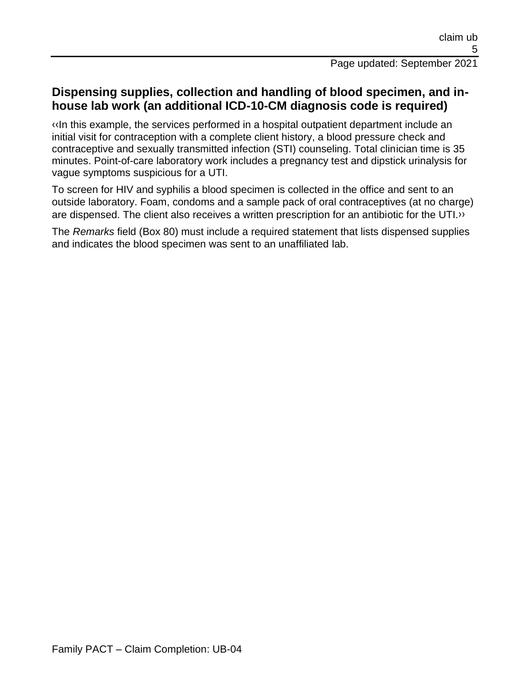### **Dispensing supplies, collection and handling of blood specimen, and inhouse lab work (an additional ICD-10-CM diagnosis code is required)**

[‹‹I](#page-15-0)n this example, the services performed in a hospital outpatient department include an initial visit for contraception with a complete client history, a blood pressure check and contraceptive and sexually transmitted infection (STI) counseling. Total clinician time is 35 minutes. Point-of-care laboratory work includes a pregnancy test and dipstick urinalysis for vague symptoms suspicious for a UTI.

To screen for HIV and syphilis a blood specimen is collected in the office and sent to an outside laboratory. Foam, condoms and a sample pack of oral contraceptives (at no charge) are dispensed. The client also receives a written prescription for an antibiotic for the UTI[.››](#page-15-1)

The *Remarks* field (Box 80) must include a required statement that lists dispensed supplies and indicates the blood specimen was sent to an unaffiliated lab.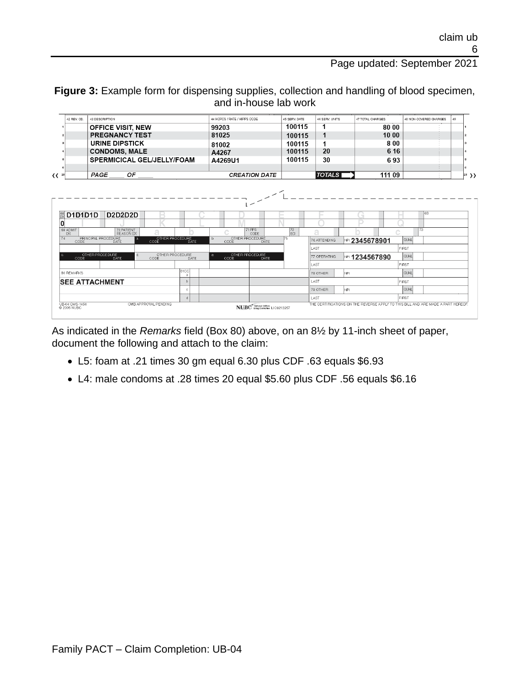**Figure 3:** Example form for dispensing supplies, collection and handling of blood specimen, and in-house lab work

| 42 REV. CD. | 43 DESCRIPTION                    | 44 HCPCS / RATE / HIPPS CODE | 45 SERV. DATE | 46 SERV UNITS | 47 TOTAL CHARGES | 48 NON-COVERED CHARGES | 49 |
|-------------|-----------------------------------|------------------------------|---------------|---------------|------------------|------------------------|----|
|             | <b>OFFICE VISIT, NEW</b>          | 99203                        | 100115        |               | 80 00            |                        |    |
|             | <b>PREGNANCY TEST</b>             | 81025                        | 100115        |               | 10:00            |                        |    |
|             | URINE DIPSTICK                    | 81002                        | 100115        |               | 800              |                        |    |
|             | <b>CONDOMS, MALE</b>              | A4267                        | 100115        | 20            | 6 16             |                        |    |
|             | <b>SPERMICICAL GEL/JELLY/FOAM</b> | A4269U1                      | 100115        | 30            | 693              |                        |    |
|             |                                   |                              |               |               |                  |                        |    |
|             | <b>PAGE</b><br>ОF                 | <b>CREATION DATE</b>         |               | <b>TOTALS</b> | 111:09           |                        |    |



As indicated in the *Remarks* field (Box 80) above, on an 8½ by 11-inch sheet of paper, document the following and attach to the claim:

- L5: foam at .21 times 30 gm equal 6.30 plus CDF .63 equals \$6.93
- L4: male condoms at .28 times 20 equal \$5.60 plus CDF .56 equals \$6.16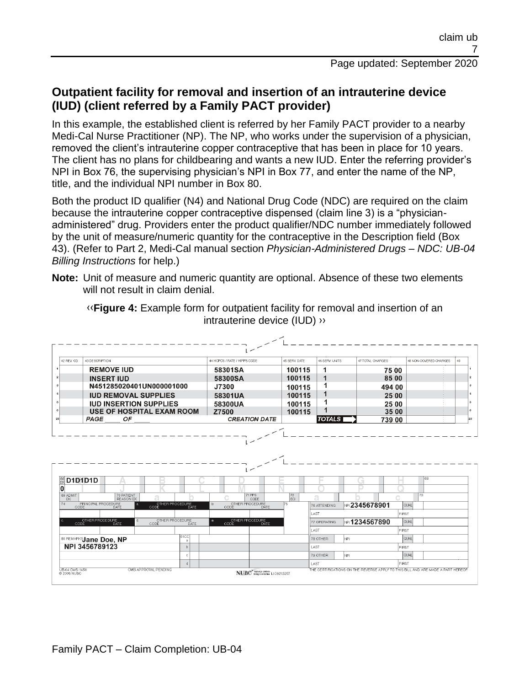## **Outpatient facility for removal and insertion of an intrauterine device (IUD) (client referred by a Family PACT provider)**

In this example, the established client is referred by her Family PACT provider to a nearby Medi-Cal Nurse Practitioner (NP). The NP, who works under the supervision of a physician, removed the client's intrauterine copper contraceptive that has been in place for 10 years. The client has no plans for childbearing and wants a new IUD. Enter the referring provider's NPI in Box 76, the supervising physician's NPI in Box 77, and enter the name of the NP, title, and the individual NPI number in Box 80.

Both the product ID qualifier (N4) and National Drug Code (NDC) are required on the claim because the intrauterine copper contraceptive dispensed (claim line 3) is a "physicianadministered" drug. Providers enter the product qualifier/NDC number immediately followed by the unit of measure/numeric quantity for the contraceptive in the Description field (Box 43). (Refer to Part 2, Medi-Cal manual section *Physician-Administered Drugs – NDC: UB-04 Billing Instructions* for help.)

**Note:** Unit of measure and numeric quantity are optional. Absence of these two elements will not result in claim denial.



[‹‹](#page-15-0)**Figure 4:** Example form for outpatient facility for removal and insertion of an intrauterine device (IUD) [››](#page-15-1)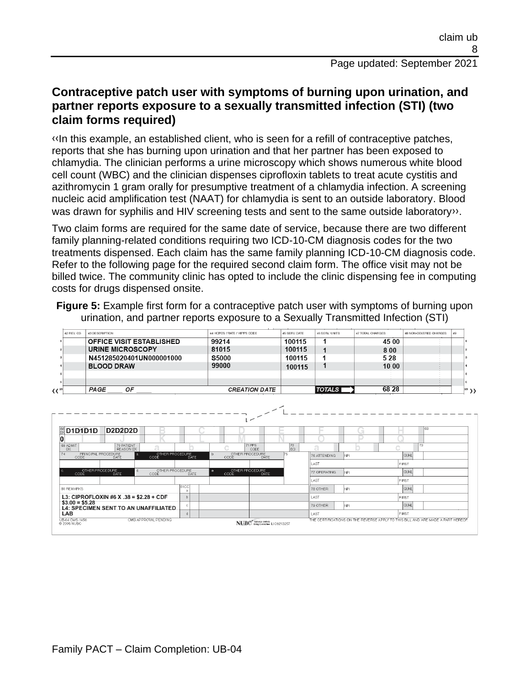### **Contraceptive patch user with symptoms of burning upon urination, and partner reports exposure to a sexually transmitted infection (STI) (two claim forms required)**

[‹‹I](#page-15-0)n this example, an established client, who is seen for a refill of contraceptive patches, reports that she has burning upon urination and that her partner has been exposed to chlamydia. The clinician performs a urine microscopy which shows numerous white blood cell count (WBC) and the clinician dispenses ciprofloxin tablets to treat acute cystitis and azithromycin 1 gram orally for presumptive treatment of a chlamydia infection. A screening nucleic acid amplification test (NAAT) for chlamydia is sent to an outside laboratory. Blood was drawn for syphilis and HIV screening tests and sent to the same outside laboratory».

Two claim forms are required for the same date of service, because there are two different family planning-related conditions requiring two ICD-10-CM diagnosis codes for the two treatments dispensed. Each claim has the same family planning ICD-10-CM diagnosis code. Refer to the following page for the required second claim form. The office visit may not be billed twice. The community clinic has opted to include the clinic dispensing fee in computing costs for drugs dispensed onsite.

**Figure 5:** Example first form for a contraceptive patch user with symptoms of burning upon urination, and partner reports exposure to a Sexually Transmitted Infection (STI)

|     | 42 REV. CD. | 43 DESCRIPTION                  | 44 HCPCS / RATE / HIPPS CODE | <b>45 SERV DATE</b> | 46 SERV. UNITS | 47 TOTAL CHARGES | 48 NON-COVERED CHARGES | 49 |    |
|-----|-------------|---------------------------------|------------------------------|---------------------|----------------|------------------|------------------------|----|----|
|     |             | <b>OFFICE VISIT ESTABLISHED</b> | 99214                        | 100115              |                | 45 00            |                        |    |    |
|     |             | URINE MICROSCOPY                | 81015                        | 100115              |                | 8 0 0            |                        |    |    |
|     |             | N451285020401UN000001000        | <b>S5000</b>                 | 100115              |                | 5 2 8            |                        |    |    |
|     |             | <b>BLOOD DRAW</b>               | 99000                        | 100115              |                | 10 00            |                        |    |    |
|     |             |                                 |                              |                     |                |                  |                        |    |    |
|     |             |                                 |                              |                     |                |                  |                        |    |    |
| (∢" |             | ОF<br>PAGE                      | <b>CREATION DATE</b>         |                     | <b>TOTALS</b>  | 68 28            |                        |    | ,, |
|     |             |                                 |                              |                     |                |                  |                        |    |    |

![](_page_7_Figure_6.jpeg)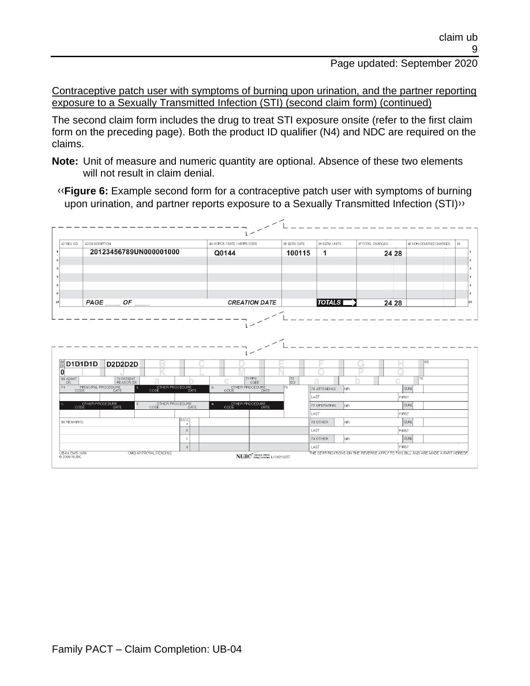Contraceptive patch user with symptoms of burning upon urination, and the partner reporting exposure to a Sexually Transmitted Infection (STI) (second claim form) (continued)

The second claim form includes the drug to treat STI exposure onsite (refer to the first claim form on the preceding page). Both the product ID qualifier (N4) and NDC are required on the claims.

**Note:** Unit of measure and numeric quantity are optional. Absence of these two elements will not result in claim denial.

[‹‹](#page-15-0)**Figure 6:** Example second form for a contraceptive patch user with symptoms of burning upon urination, and partner reports exposure to a Sexually Transmitted Infection (STI[\)››](#page-15-1)

| 42 REV. CD.                         | 43 DESCRIPTION                   |                                           |                              |                     | 44 HCPCS / RATE / HIPPS CODE                       | 45 SERV. DATE                   | 46 SERV. UNITS    | 47 TOTAL CHARGES |       | 48 NON-COVERED CHARGES | 49 |
|-------------------------------------|----------------------------------|-------------------------------------------|------------------------------|---------------------|----------------------------------------------------|---------------------------------|-------------------|------------------|-------|------------------------|----|
|                                     |                                  | 20123456789UN000001000                    |                              |                     | Q0144                                              | 100115                          | 1                 |                  | 24 28 |                        |    |
|                                     |                                  |                                           |                              |                     |                                                    |                                 |                   |                  |       |                        |    |
|                                     |                                  |                                           |                              |                     |                                                    |                                 |                   |                  |       |                        |    |
|                                     |                                  |                                           |                              |                     |                                                    |                                 |                   |                  |       |                        |    |
|                                     |                                  |                                           |                              |                     |                                                    |                                 |                   |                  |       |                        |    |
|                                     |                                  |                                           |                              |                     |                                                    |                                 |                   |                  |       |                        |    |
|                                     | PAGE                             | OF                                        |                              |                     | <b>CREATION DATE</b>                               |                                 | <b>TOTALS</b>     |                  | 24 28 |                        |    |
|                                     |                                  |                                           |                              |                     |                                                    |                                 |                   |                  |       |                        |    |
|                                     | $\frac{66}{000}$ D1D1D1D         | <b>D2D2D2D</b>                            |                              |                     |                                                    |                                 |                   | $\sim$           |       | 68                     |    |
|                                     |                                  |                                           |                              |                     | 71 PPS                                             |                                 |                   |                  |       | 73                     |    |
|                                     |                                  | 70 PATIENT<br>REASON DX<br>$\overline{a}$ | ā                            |                     | CODE<br>h                                          | $\vert_{\text{ECI}}^{72}$<br>75 | a<br>76 ATTENDING | İмPI             |       | QUAL                   |    |
|                                     | PRINCIPAL PROCEDURE<br>CODE DATE |                                           | OTHER PROCEDURE<br>CODE DATE |                     | OTHER PROCEDURE<br>CODE DATE                       |                                 | LAST              |                  | FIRST |                        |    |
|                                     | OTHER PROCEDURE<br>CODE DATE     | d                                         | OTHER PROCEDURE<br>CODE      | <b>DATE</b>         | OTHER PROCEDURE<br>$\theta$<br><b>CODE</b><br>DATE |                                 | 77 OPERATING      | NPI.             |       | <b>QUAL</b>            |    |
|                                     |                                  |                                           |                              |                     |                                                    |                                 | LAST              |                  | FIRST |                        |    |
|                                     |                                  |                                           |                              | 81CC <br>a          |                                                    |                                 | 78 OTHER          | NPI.             |       | QUAL                   |    |
| 69 ADMIT<br>DX<br><b>80 REMARKS</b> |                                  |                                           |                              | b<br>$\ddot{\circ}$ |                                                    |                                 | LAST<br>79 OTHER  | NPI.             | FIRST | <b>QUAL</b>            |    |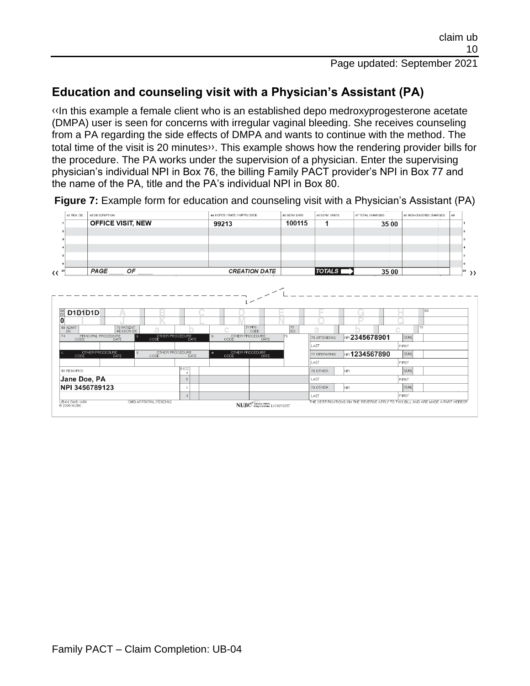## **Education and counseling visit with a Physician's Assistant (PA)**

[‹‹I](#page-15-0)n this example a female client who is an established depo medroxyprogesterone acetate (DMPA) user is seen for concerns with irregular vaginal bleeding. She receives counseling from a PA regarding the side effects of DMPA and wants to continue with the method. The total time of the visit is 20 minute[s››.](#page-15-1) This example shows how the rendering provider bills for the procedure. The PA works under the supervision of a physician. Enter the supervising physician's individual NPI in Box 76, the billing Family PACT provider's NPI in Box 77 and the name of the PA, title and the PA's individual NPI in Box 80.

**Figure 7:** Example form for education and counseling visit with a Physician's Assistant (PA) 44 HCPCS / RATE / HIPPS CODE 45 SERV. DATE 46 SERV. UNITS CHARGES 43 DESCRIPTION

![](_page_9_Figure_4.jpeg)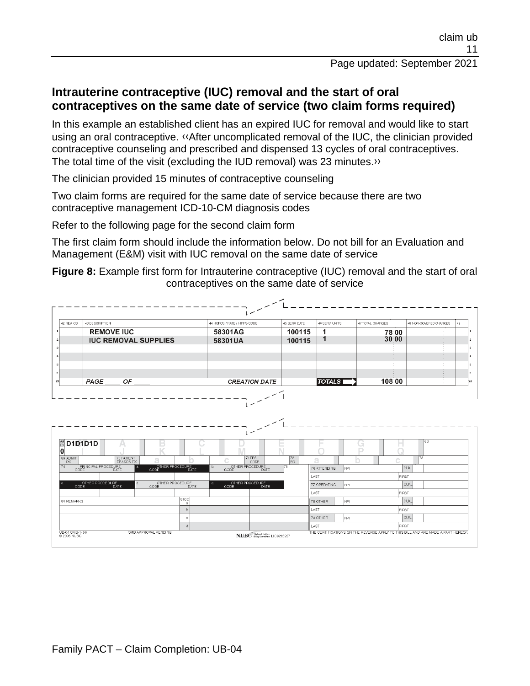## **Intrauterine contraceptive (IUC) removal and the start of oral contraceptives on the same date of service (two claim forms required)**

In this example an established client has an expired IUC for removal and would like to start using an oral contraceptive. [‹‹A](#page-15-0)fter uncomplicated removal of the IUC, the clinician provided contraceptive counseling and prescribed and dispensed 13 cycles of oral contraceptives. The total time of the visit (excluding the IUD removal) was 23 minutes[.››](#page-15-1)

The clinician provided 15 minutes of contraceptive counseling

Two claim forms are required for the same date of service because there are two contraceptive management ICD-10-CM diagnosis codes

Refer to the following page for the second claim form

The first claim form should include the information below. Do not bill for an Evaluation and Management (E&M) visit with IUC removal on the same date of service

**Figure 8:** Example first form for Intrauterine contraceptive (IUC) removal and the start of oral contraceptives on the same date of service

| 42 REV. CD.       | 43 DESCRIPTION                                                        |                   | 44 HCPCS / RATE / HIPPS CODE                               | 45 SERV. DATE         | 46 SERV. UNITS           | 47 TOTAL CHARGES |              | 48 NON-COVERED CHARGES | 49 |
|-------------------|-----------------------------------------------------------------------|-------------------|------------------------------------------------------------|-----------------------|--------------------------|------------------|--------------|------------------------|----|
|                   | <b>REMOVE IUC</b>                                                     |                   | 58301AG                                                    | 100115                | 1                        |                  | 78:00        |                        |    |
|                   | <b>IUC REMOVAL SUPPLIES</b>                                           |                   | 58301UA                                                    | 100115                | 1                        |                  | 30 00        |                        |    |
|                   |                                                                       |                   |                                                            |                       |                          |                  |              |                        |    |
|                   |                                                                       |                   |                                                            |                       |                          |                  |              |                        |    |
|                   |                                                                       |                   |                                                            |                       |                          |                  |              |                        |    |
|                   |                                                                       |                   |                                                            |                       |                          |                  |              |                        |    |
|                   | PAGE<br>OF                                                            |                   | <b>CREATION DATE</b>                                       |                       | <b>TOTALS</b>            |                  | 108 00       |                        |    |
|                   |                                                                       |                   |                                                            |                       |                          |                  |              |                        |    |
|                   | D1D1D1D                                                               |                   |                                                            |                       |                          | <b>Ford</b>      |              | 68                     |    |
| 69 ADMIT<br>DX.   | 70 PATIENT<br>ā<br><b>REASON DX</b>                                   |                   | 71 PPS<br>c<br>CODE                                        | $\sqrt{\frac{72}{2}}$ | a                        |                  | Ĉ            | 173                    |    |
|                   | PRINCIPAL PROCEDURE<br>OTHER PROCEDURE<br>CODE DATE<br>$\overline{a}$ |                   | OTHER PROCEDURE<br>b.<br><b>DATE</b><br>CODE               | 75                    | 76 ATTENDING<br>NPL.     |                  |              | <b>QUAL</b>            |    |
|                   | d                                                                     |                   |                                                            | LAST                  |                          |                  | FIRST        |                        |    |
|                   | OTHER PROCEDURE<br>OTHER PROCEDURE<br><b>DATE</b><br>CODE             | <b>DATE</b>       | OTHER PROCEDURE<br>$\theta$ .<br>CODE <sup>1</sup><br>DATE |                       | 77 OPERATING<br>NPI.     |                  |              | <b>QUAL</b>            |    |
|                   |                                                                       | <b>81CC</b>       |                                                            | LAST                  |                          |                  | <b>FIRST</b> |                        |    |
| <b>80 REMARKS</b> |                                                                       | a<br>$\mathbf{b}$ |                                                            |                       | NPI.<br>78 OTHER<br>LAST |                  | FIRST        | <b>QUAL</b>            |    |
|                   |                                                                       | $\circ$           |                                                            |                       | 79 OTHER<br>NPI.         |                  |              | <b>QUAL</b>            |    |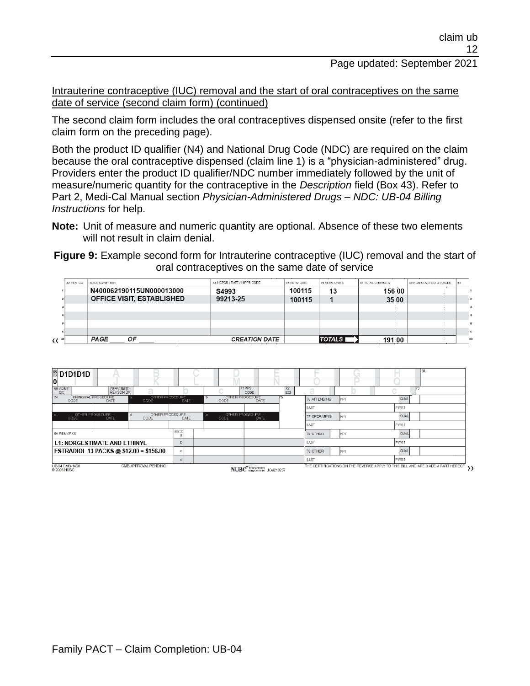Intrauterine contraceptive (IUC) removal and the start of oral contraceptives on the same date of service (second claim form) (continued)

The second claim form includes the oral contraceptives dispensed onsite (refer to the first claim form on the preceding page).

Both the product ID qualifier (N4) and National Drug Code (NDC) are required on the claim because the oral contraceptive dispensed (claim line 1) is a "physician-administered" drug. Providers enter the product ID qualifier/NDC number immediately followed by the unit of measure/numeric quantity for the contraceptive in the *Description* field (Box 43). Refer to Part 2, Medi-Cal Manual section *Physician-Administered Drugs – NDC: UB-04 Billing Instructions* for help.

**Note:** Unit of measure and numeric quantity are optional. Absence of these two elements will not result in claim denial.

**Figure 9:** Example second form for Intrauterine contraceptive (IUC) removal and the start of oral contraceptives on the same date of service

|             | <b>OFFICE VISIT, ESTABLISHED</b> | 99213-25                     | 100115       |                | 35 00            |                        |    |  |
|-------------|----------------------------------|------------------------------|--------------|----------------|------------------|------------------------|----|--|
|             | N400062190115UN000013000         | S4993                        | 100115       | 13             | 156 00           |                        |    |  |
| 42 REV. CD. | 43 DESCRIPTION                   | 44 HCPCS / RATE / HIPPS CODE | 45 SERV DATE | 46 SERV. UNITS | 47 TOTAL CHARGES | 48 NON-COVERED CHARGES | 49 |  |

![](_page_11_Figure_8.jpeg)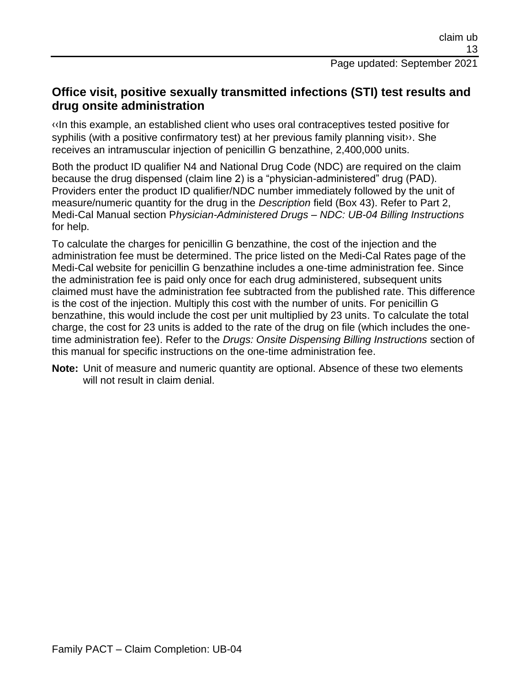## **Office visit, positive sexually transmitted infections (STI) test results and drug onsite administration**

[‹‹I](#page-15-0)n this example, an established client who uses oral contraceptives tested positive for syphilis (with a positive confirmatory test) at her previous family planning visit». She receives an intramuscular injection of penicillin G benzathine, 2,400,000 units.

Both the product ID qualifier N4 and National Drug Code (NDC) are required on the claim because the drug dispensed (claim line 2) is a "physician-administered" drug (PAD). Providers enter the product ID qualifier/NDC number immediately followed by the unit of measure/numeric quantity for the drug in the *Description* field (Box 43). Refer to Part 2, Medi-Cal Manual section P*hysician-Administered Drugs – NDC: UB-04 Billing Instructions*  for help.

To calculate the charges for penicillin G benzathine, the cost of the injection and the administration fee must be determined. The price listed on the Medi-Cal Rates page of the Medi-Cal website for penicillin G benzathine includes a one-time administration fee. Since the administration fee is paid only once for each drug administered, subsequent units claimed must have the administration fee subtracted from the published rate. This difference is the cost of the injection. Multiply this cost with the number of units. For penicillin G benzathine, this would include the cost per unit multiplied by 23 units. To calculate the total charge, the cost for 23 units is added to the rate of the drug on file (which includes the onetime administration fee). Refer to the *Drugs: Onsite Dispensing Billing Instructions* section of this manual for specific instructions on the one-time administration fee.

**Note:** Unit of measure and numeric quantity are optional. Absence of these two elements will not result in claim denial.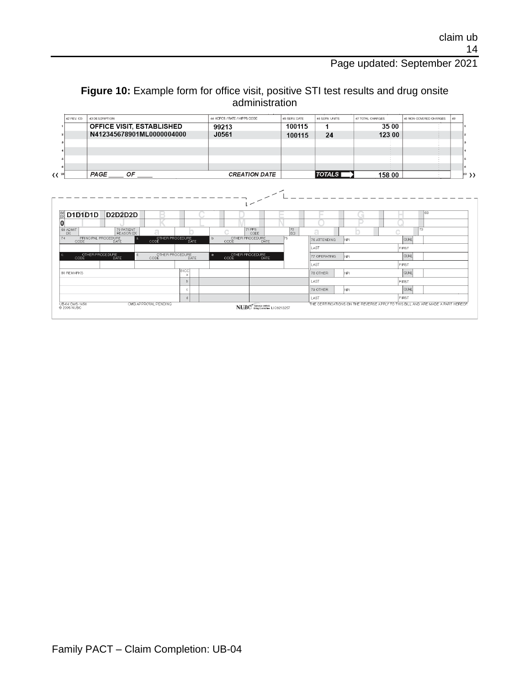#### **Figure 10:** Example form for office visit, positive STI test results and drug onsite administration

| 42 REV. CD.                                   | 43 DESCRIPTION                                          |                                        | 44 HCPCS / RATE / HIPPS CODE                          |           |                       |            |             |                         |
|-----------------------------------------------|---------------------------------------------------------|----------------------------------------|-------------------------------------------------------|-----------|-----------------------|------------|-------------|-------------------------|
|                                               | OFFICE VISIT, ESTABLISHED                               |                                        | 99213                                                 | 100115    | 1                     | 35 00      |             |                         |
|                                               | N412345678901ML0000004000                               |                                        | J0561                                                 | 100115    | 24                    | 123:00     |             | ۰                       |
|                                               |                                                         |                                        |                                                       |           |                       |            |             | a                       |
|                                               |                                                         |                                        |                                                       |           |                       |            |             |                         |
|                                               |                                                         |                                        |                                                       |           |                       |            |             | 5                       |
|                                               |                                                         |                                        |                                                       |           |                       |            |             | 6                       |
| 23                                            | PAGE<br>ОF                                              |                                        | <b>CREATION DATE</b>                                  |           | TOTALS                | 158 00     |             | $\left  \right ^{23}$ ) |
|                                               |                                                         |                                        |                                                       |           |                       |            |             |                         |
| D1D1D1D                                       | <b>D2D2D2D</b>                                          |                                        |                                                       |           |                       | <b>All</b> | 68          |                         |
|                                               | 70 PATIENT                                              | ā                                      | <b>71 PPS</b><br>Ċ                                    | 72        | а                     |            | 73          |                         |
| <b>DX</b><br>CODE                             | <b>REASON DX</b><br>PRINCIPAL PROCEDURE<br>l al<br>DATE | OTHER PROCEDURE<br>CODE DATE           | CODE<br>OTHER PROCEDURE<br>$b$<br><b>DATE</b><br>CODE | ECI<br>75 | İNPI.<br>76 ATTENDING |            | <b>QUAL</b> |                         |
|                                               |                                                         |                                        |                                                       |           | LAST                  |            | FIRST       |                         |
| CODE                                          | OTHER PROCEDURE<br>đ<br>DATE                            | OTHER PROCEDURE<br><b>DATE</b><br>CODE | OTHER PROCEDURE<br>$\theta$<br>DATE<br>CODE           |           | 77 OPERATING          | NPL.       | <b>QUAL</b> |                         |
|                                               |                                                         |                                        |                                                       |           | LAST                  |            | FIRST       |                         |
|                                               |                                                         | 81CC<br>a                              |                                                       |           | 78 OTHER              | NPI.       | <b>QUAL</b> |                         |
|                                               |                                                         | $\overline{b}$                         |                                                       |           | LAST                  |            | FIRST       |                         |
| 66<br>DX<br>0<br>69 ADMIT<br>7d<br>80 REMARKS |                                                         | $\circ$                                |                                                       |           | 79 OTHER              | NPL.       | <b>QUAL</b> |                         |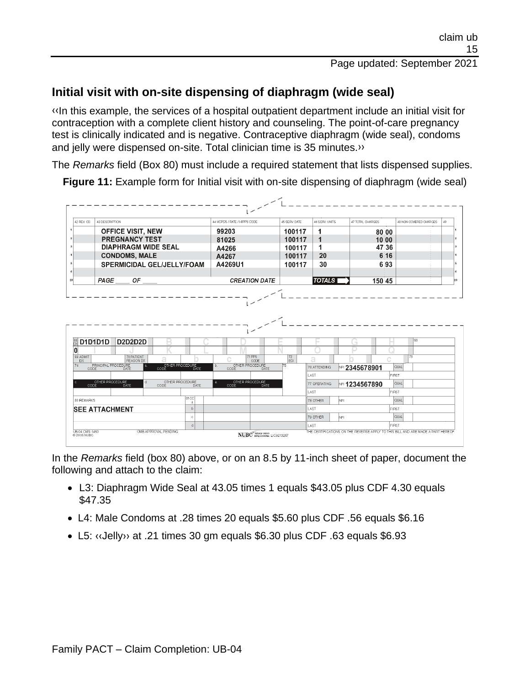## **Initial visit with on-site dispensing of diaphragm (wide seal)**

[‹‹I](#page-15-0)n this example, the services of a hospital outpatient department include an initial visit for contraception with a complete client history and counseling. The point-of-care pregnancy test is clinically indicated and is negative. Contraceptive diaphragm (wide seal), condoms and jelly were dispensed on-site. Total clinician time is 35 minutes.<sup>>></sup>

The *Remarks* field (Box 80) must include a required statement that lists dispensed supplies.

**Figure 11:** Example form for Initial visit with on-site dispensing of diaphragm (wide seal)

| 42 BEV CD                                           | 43 DESCRIPTION                   |                                   |                              |                   | 44 HCPCS / RATE / HIPPS CODE           | 45 SERV DATE                | 46 SERV UNITS           | 47 TOTAL CHARGES            |              | 48 NON-COVERED CHARGES | 49 |
|-----------------------------------------------------|----------------------------------|-----------------------------------|------------------------------|-------------------|----------------------------------------|-----------------------------|-------------------------|-----------------------------|--------------|------------------------|----|
|                                                     |                                  | <b>OFFICE VISIT, NEW</b>          |                              |                   | 99203                                  | 100117                      | 1                       |                             | 80 00        |                        |    |
|                                                     |                                  | <b>PREGNANCY TEST</b>             |                              |                   | 81025                                  | 100117                      | $\overline{\mathbf{1}}$ |                             | 10 00        |                        |    |
|                                                     |                                  | <b>DIAPHRAGM WIDE SEAL</b>        |                              |                   | A4266                                  | 100117                      | 1                       |                             | 47.36        |                        |    |
|                                                     |                                  | <b>CONDOMS, MALE</b>              |                              |                   | A4267                                  | 100117                      | 20                      |                             | 6 16         |                        |    |
|                                                     |                                  | <b>SPERMICIDAL GEL/JELLY/FOAM</b> |                              |                   | A4269U1                                | 100117                      | 30                      |                             | 693          |                        |    |
|                                                     |                                  |                                   |                              |                   |                                        |                             |                         |                             |              |                        |    |
|                                                     | PAGE                             | ОF                                |                              |                   | <b>CREATION DATE</b>                   |                             | <b>TOTALS</b>           |                             | 150 45       |                        |    |
|                                                     |                                  |                                   |                              |                   |                                        |                             |                         |                             |              |                        |    |
|                                                     | <b>D1D1D1D</b>                   | <b>D2D2D2D</b>                    |                              |                   |                                        |                             |                         | $\mathcal{L}_{\mathcal{A}}$ |              | 68                     |    |
|                                                     |                                  | 70 PATIENT                        |                              |                   | 71 PPS                                 |                             |                         |                             |              | 173                    |    |
| DX                                                  |                                  | <b>REASON DX</b><br>$\mathbf{a}$  | ă                            |                   | CODE<br>OTHER PROCEDURE<br>$\mathbf b$ | $\sqrt{\frac{72}{E}}$<br>75 | a                       |                             |              |                        |    |
|                                                     | PRINCIPAL PROCEDURE<br>CODE DATE |                                   | OTHER PROCEDURE<br>CODE DATE |                   | DATE<br>CODE                           |                             | 76 ATTENDING<br>LAST    | <b>NPI 2345678901</b>       | <b>FIRST</b> | QUAL                   |    |
|                                                     |                                  | d                                 | OTHER PROCEDURE              |                   | OTHER PROCEDURE<br>$\mathbf{R}$        |                             | 77 OPERATING            |                             |              | <b>QUAL</b>            |    |
|                                                     | OTHER PROCEDURE                  | DATE                              | CODE                         | DATE              | CODE<br>DATE                           |                             | LAST                    | № 1234567890                |              | FIRST                  |    |
|                                                     |                                  |                                   |                              | <b>81CC</b><br>-a |                                        |                             | 78 OTHER                | NPI.                        |              | QUAL                   |    |
|                                                     | <b>SEE ATTACHMENT</b>            |                                   |                              | $\mathbf b$       |                                        |                             | LAST                    |                             | <b>FIRST</b> |                        |    |
| $\frac{66}{D}$<br>0<br>69 ADMIT<br>74<br>80 REMARKS |                                  |                                   |                              | $\circ$           |                                        |                             | 79 OTHER                | NPI                         |              | QUAL                   |    |

In the *Remarks* field (box 80) above, or on an 8.5 by 11-inch sheet of paper, document the following and attach to the claim:

- L3: Diaphragm Wide Seal at 43.05 times 1 equals \$43.05 plus CDF 4.30 equals \$47.35
- L4: Male Condoms at .28 times 20 equals \$5.60 plus CDF .56 equals \$6.16
- L5: [‹‹J](#page-15-0)ell[y››](#page-15-1) at .21 times 30 gm equals \$6.30 plus CDF .63 equals \$6.93